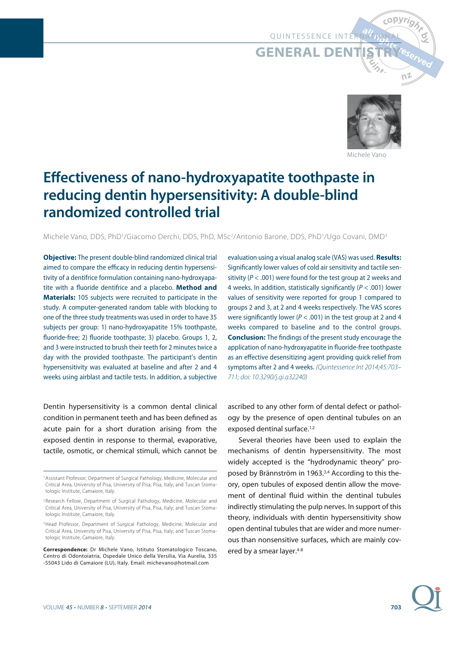# QUINTESSENCE INTERN

**GENERAL DEN** 



رopyri<sub>o</sub>

Michele Vanc

# **Effectiveness of nano-hydroxyapatite toothpaste in reducing dentin hypersensitivity: A double-blind randomized controlled trial**

Michele Vano, DDS, PhD1/Giacomo Derchi, DDS, PhD, MSc2/Antonio Barone, DDS, PhD1/Ugo Covani, DMD3

**Objective:** The present double-blind randomized clinical trial aimed to compare the efficacy in reducing dentin hypersensitivity of a dentifrice formulation containing nano-hydroxyapatite with a fluoride dentifrice and a placebo. **Method and Materials:** 105 subjects were recruited to participate in the study. A computer-generated random table with blocking to one of the three study treatments was used in order to have 35 subjects per group: 1) nano-hydroxyapatite 15% toothpaste, fluoride-free; 2) fluoride toothpaste; 3) placebo. Groups 1, 2, and 3 were instructed to brush their teeth for 2 minutes twice a day with the provided toothpaste. The participant's dentin hypersensitivity was evaluated at baseline and after 2 and 4 weeks using airblast and tactile tests. In addition, a subjective

Dentin hypersensitivity is a common dental clinical condition in permanent teeth and has been defined as acute pain for a short duration arising from the exposed dentin in response to thermal, evaporative, tactile, osmotic, or chemical stimuli, which cannot be evaluation using a visual analog scale (VAS) was used. **Results:** Significantly lower values of cold air sensitivity and tactile sensitivity ( $P < .001$ ) were found for the test group at 2 weeks and 4 weeks. In addition, statistically significantly ( $P < .001$ ) lower values of sensitivity were reported for group 1 compared to groups 2 and 3, at 2 and 4 weeks respectively. The VAS scores were significantly lower ( $P < .001$ ) in the test group at 2 and 4 weeks compared to baseline and to the control groups. **Conclusion:** The findings of the present study encourage the application of nano-hydroxyapatite in fluoride-free toothpaste as an effective desensitizing agent providing quick relief from symptoms after 2 and 4 weeks. (Quintessence Int 2014;45:703– 711; doi: 10.3290/j.qi.a32240)

ascribed to any other form of dental defect or pathology by the presence of open dentinal tubules on an exposed dentinal surface.<sup>1,2</sup>

Several theories have been used to explain the mechanisms of dentin hypersensitivity. The most widely accepted is the "hydrodynamic theory" proposed by Brännström in 1963.<sup>3,4</sup> According to this theory, open tubules of exposed dentin allow the movement of dentinal fluid within the dentinal tubules indirectly stimulating the pulp nerves. In support of this theory, individuals with dentin hypersensitivity show open dentinal tubules that are wider and more numerous than nonsensitive surfaces, which are mainly covered by a smear layer.<sup>4-8</sup>

**703**

<sup>1</sup> Assistant Professor, Department of Surgical Pathology, Medicine, Molecular and Critical Area, University of Pisa, University of Pisa, Pisa, Italy; and Tuscan Stomatologic Institute, Camaiore, Italy.

<sup>2</sup> Research Fellow, Department of Surgical Pathology, Medicine, Molecular and Critical Area, University of Pisa, University of Pisa, Pisa, Italy; and Tuscan Stomatologic Institute, Camaiore, Italy.

<sup>&</sup>lt;sup>3</sup> Head Professor, Department of Surgical Pathology, Medicine, Molecular and Critical Area, University of Pisa, University of Pisa, Pisa, Italy; and Tuscan Stomatologic Institute, Camaiore, Italy.

**Correspondence:** Dr Michele Vano, Istituto Stomatologico Toscano, Centro di Odontoiatria, Ospedale Unico della Versilia, Via Aurelia, 335 -55043 Lido di Camaiore (LU), Italy. Email: michevano@hotmail.com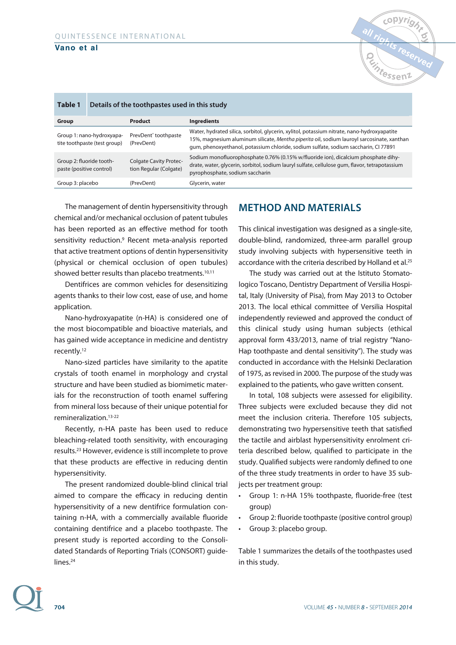| Table 1                                                   | Details of the toothpastes used in this study |                                                         |                                                                                                                                                                                                                                                                                  |  |  |  |
|-----------------------------------------------------------|-----------------------------------------------|---------------------------------------------------------|----------------------------------------------------------------------------------------------------------------------------------------------------------------------------------------------------------------------------------------------------------------------------------|--|--|--|
| Group                                                     |                                               | Product                                                 | <b>Ingredients</b>                                                                                                                                                                                                                                                               |  |  |  |
| Group 1: nano-hydroxyapa-<br>tite toothpaste (test group) |                                               | PrevDent <sup>®</sup> toothpaste<br>(PrevDent)          | Water, hydrated silica, sorbitol, glycerin, xylitol, potassium nitrate, nano-hydroxyapatite<br>15%, magnesium aluminum silicate, Mentha piperita oil, sodium lauroyl sarcosinate, xanthan<br>gum, phenoxyethanol, potassium chloride, sodium sulfate, sodium saccharin, CI 77891 |  |  |  |
| Group 2: fluoride tooth-<br>paste (positive control)      |                                               | <b>Colgate Cavity Protec-</b><br>tion Regular (Colgate) | Sodium monofluorophosphate 0.76% (0.15% w/fluoride ion), dicalcium phosphate dihy-<br>drate, water, glycerin, sorbitol, sodium lauryl sulfate, cellulose gum, flavor, tetrapotassium<br>pyrophosphate, sodium saccharin                                                          |  |  |  |
| Group 3: placebo                                          |                                               | (PrevDent)                                              | Glycerin, water                                                                                                                                                                                                                                                                  |  |  |  |

The management of dentin hypersensitivity through chemical and/or mechanical occlusion of patent tubules has been reported as an effective method for tooth sensitivity reduction.<sup>9</sup> Recent meta-analysis reported that active treatment options of dentin hypersensitivity (physical or chemical occlusion of open tubules) showed better results than placebo treatments.<sup>10,11</sup>

Dentifrices are common vehicles for desensitizing agents thanks to their low cost, ease of use, and home application.

Nano-hydroxyapatite (n-HA) is considered one of the most biocompatible and bioactive materials, and has gained wide acceptance in medicine and dentistry recently.12

Nano-sized particles have similarity to the apatite crystals of tooth enamel in morphology and crystal structure and have been studied as biomimetic materials for the reconstruction of tooth enamel suffering from mineral loss because of their unique potential for remineralization<sup>13-22</sup>

Recently, n-HA paste has been used to reduce bleaching-related tooth sensitivity, with encouraging results.23 However, evidence is still incomplete to prove that these products are effective in reducing dentin hypersensitivity.

The present randomized double-blind clinical trial aimed to compare the efficacy in reducing dentin hypersensitivity of a new dentifrice formulation containing n-HA, with a commercially available fluoride containing dentifrice and a placebo toothpaste. The present study is reported according to the Consolidated Standards of Reporting Trials (CONSORT) guidelines.<sup>24</sup>

# **METHOD AND MATERIALS**

This clinical investigation was designed as a single-site, double-blind, randomized, three-arm parallel group study involving subjects with hypersensitive teeth in accordance with the criteria described by Holland et al.<sup>25</sup>

The study was carried out at the Istituto Stomatologico Toscano, Dentistry Department of Versilia Hospital, Italy (University of Pisa), from May 2013 to October 2013. The local ethical committee of Versilia Hospital independently reviewed and approved the conduct of this clinical study using human subjects (ethical approval form 433/2013, name of trial registry "Nano-Hap toothpaste and dental sensitivity"). The study was conducted in accordance with the Helsinki Declaration of 1975, as revised in 2000. The purpose of the study was explained to the patients, who gave written consent.

In total, 108 subjects were assessed for eligibility. Three subjects were excluded because they did not meet the inclusion criteria. Therefore 105 subjects, demonstrating two hypersensitive teeth that satisfied the tactile and airblast hypersensitivity enrolment criteria described below, qualified to participate in the study. Qualified subjects were randomly defined to one of the three study treatments in order to have 35 subjects per treatment group:

- Group 1: n-HA 15% toothpaste, fluoride-free (test group)
- Group 2: fluoride toothpaste (positive control group)
- Group 3: placebo group.

Table 1 summarizes the details of the toothpastes used in this study.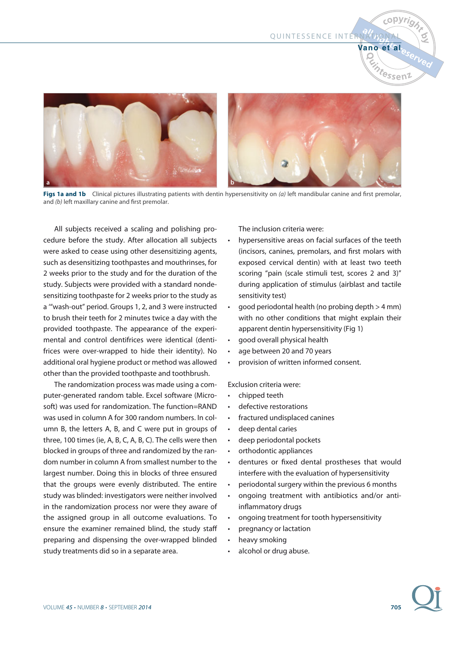QUINTESSENCE INTERNATION

**COPYrig** 



Figs 1a and 1b Clinical pictures illustrating patients with dentin hypersensitivity on (a) left mandibular canine and first premolar, and (b) left maxillary canine and first premolar.

All subjects received a scaling and polishing procedure before the study. After allocation all subjects were asked to cease using other desensitizing agents, such as desensitizing toothpastes and mouthrinses, for 2 weeks prior to the study and for the duration of the study. Subjects were provided with a standard nondesensitizing toothpaste for 2 weeks prior to the study as a '"wash-out" period. Groups 1, 2, and 3 were instructed to brush their teeth for 2 minutes twice a day with the provided toothpaste. The appearance of the experimental and control dentifrices were identical (dentifrices were over-wrapped to hide their identity). No additional oral hygiene product or method was allowed other than the provided toothpaste and toothbrush.

The randomization process was made using a computer-generated random table. Excel software (Microsoft) was used for randomization. The function=RAND was used in column A for 300 random numbers. In column B, the letters A, B, and C were put in groups of three, 100 times (ie, A, B, C, A, B, C). The cells were then blocked in groups of three and randomized by the random number in column A from smallest number to the largest number. Doing this in blocks of three ensured that the groups were evenly distributed. The entire study was blinded: investigators were neither involved in the randomization process nor were they aware of the assigned group in all outcome evaluations. To ensure the examiner remained blind, the study staff preparing and dispensing the over-wrapped blinded study treatments did so in a separate area.

The inclusion criteria were:

- hypersensitive areas on facial surfaces of the teeth (incisors, canines, premolars, and first molars with exposed cervical dentin) with at least two teeth scoring "pain (scale stimuli test, scores 2 and 3)" during application of stimulus (airblast and tactile sensitivity test)
- good periodontal health (no probing depth > 4 mm) with no other conditions that might explain their apparent dentin hypersensitivity (Fig 1)
- good overall physical health
- age between 20 and 70 years
- provision of written informed consent.

Exclusion criteria were:

- chipped teeth
- defective restorations
- fractured undisplaced canines
- deep dental caries
- deep periodontal pockets
- orthodontic appliances
- dentures or fixed dental prostheses that would interfere with the evaluation of hypersensitivity
- periodontal surgery within the previous 6 months
- ongoing treatment with antibiotics and/or antiinflammatory drugs
- ongoing treatment for tooth hypersensitivity
- pregnancy or lactation
- heavy smoking
- alcohol or drug abuse.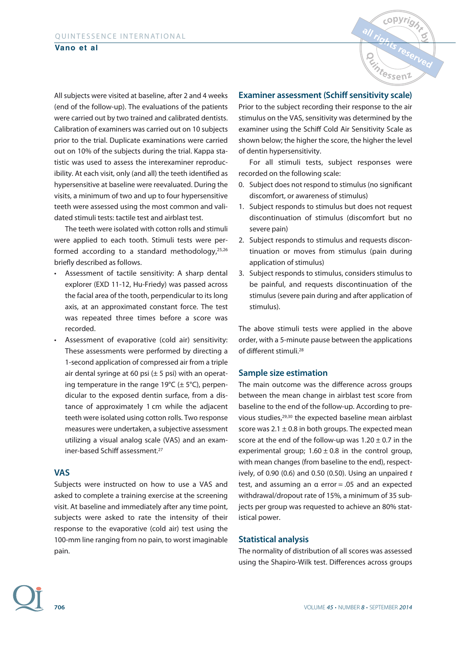All subjects were visited at baseline, after 2 and 4 weeks (end of the follow-up). The evaluations of the patients were carried out by two trained and calibrated dentists. Calibration of examiners was carried out on 10 subjects prior to the trial. Duplicate examinations were carried out on 10% of the subjects during the trial. Kappa statistic was used to assess the interexaminer reproducibility. At each visit, only (and all) the teeth identified as hypersensitive at baseline were reevaluated. During the visits, a minimum of two and up to four hypersensitive teeth were assessed using the most common and validated stimuli tests: tactile test and airblast test.

The teeth were isolated with cotton rolls and stimuli were applied to each tooth. Stimuli tests were performed according to a standard methodology, $25,26$ briefly described as follows.

- Assessment of tactile sensitivity: A sharp dental explorer (EXD 11-12, Hu-Friedy) was passed across the facial area of the tooth, perpendicular to its long axis, at an approximated constant force. The test was repeated three times before a score was recorded.
- Assessment of evaporative (cold air) sensitivity: These assessments were performed by directing a 1-second application of compressed air from a triple air dental syringe at 60 psi  $(\pm 5 \text{ psi})$  with an operating temperature in the range 19 $°C$  ( $±$  5 $°C$ ), perpendicular to the exposed dentin surface, from a distance of approximately 1 cm while the adjacent teeth were isolated using cotton rolls. Two response measures were undertaken, a subjective assessment utilizing a visual analog scale (VAS) and an examiner-based Schiff assessment.27

#### **VAS**

Subjects were instructed on how to use a VAS and asked to complete a training exercise at the screening visit. At baseline and immediately after any time point, subjects were asked to rate the intensity of their response to the evaporative (cold air) test using the 100-mm line ranging from no pain, to worst imaginable pain.

### **Examiner assessment (Schiff sensitivity scale)**

Prior to the subject recording their response to the air stimulus on the VAS, sensitivity was determined by the examiner using the Schiff Cold Air Sensitivity Scale as shown below; the higher the score, the higher the level of dentin hypersensitivity.

For all stimuli tests, subject responses were recorded on the following scale:

- 0. Subject does not respond to stimulus (no significant discomfort, or awareness of stimulus)
- 1. Subject responds to stimulus but does not request discontinuation of stimulus (discomfort but no severe pain)
- 2. Subject responds to stimulus and requests discontinuation or moves from stimulus (pain during application of stimulus)
- 3. Subject responds to stimulus, considers stimulus to be painful, and requests discontinuation of the stimulus (severe pain during and after application of stimulus).

The above stimuli tests were applied in the above order, with a 5-minute pause between the applications of different stimuli.28

#### **Sample size estimation**

The main outcome was the difference across groups between the mean change in airblast test score from baseline to the end of the follow-up. According to previous studies,29,30 the expected baseline mean airblast score was  $2.1 \pm 0.8$  in both groups. The expected mean score at the end of the follow-up was  $1.20 \pm 0.7$  in the experimental group;  $1.60 \pm 0.8$  in the control group, with mean changes (from baseline to the end), respectively, of 0.90 (0.6) and 0.50 (0.50). Using an unpaired  $t$ test, and assuming an  $\alpha$  error = .05 and an expected withdrawal/dropout rate of 15%, a minimum of 35 subjects per group was requested to achieve an 80% statistical power.

#### **Statistical analysis**

The normality of distribution of all scores was assessed using the Shapiro-Wilk test. Differences across groups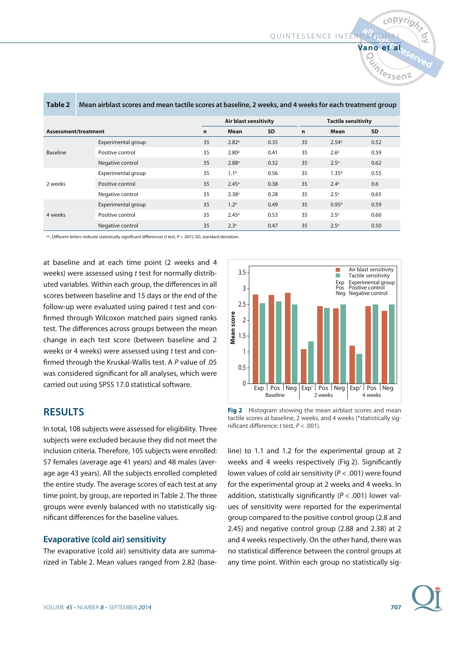**Vano et al**

copyright

|                                                                                                    |                              |                   |           |             |                            | <b>Vintessel</b> |  |  |  |
|----------------------------------------------------------------------------------------------------|------------------------------|-------------------|-----------|-------------|----------------------------|------------------|--|--|--|
| airblast scores and mean tactile scores at baseline, 2 weeks, and 4 weeks for each treatment group |                              |                   |           |             |                            |                  |  |  |  |
|                                                                                                    | <b>Air blast sensitivity</b> |                   |           |             | <b>Tactile sensitivity</b> |                  |  |  |  |
| ₽nt                                                                                                | $\mathbf n$                  | Mean              | <b>SD</b> | $\mathbf n$ | Mean                       | SD               |  |  |  |
| Experimental group                                                                                 | 35                           | 2.82 <sup>a</sup> | 0.35      | 35          | 2.54 <sup>a</sup>          | 0.52             |  |  |  |
| Positive control                                                                                   | 35                           | 2.80 <sup>a</sup> | 0.41      | 35          | 2.6 <sup>a</sup>           | 0.59             |  |  |  |
| Negative control                                                                                   | 35                           | 2.88 <sup>a</sup> | 0.32      | 35          | 2.5 <sup>a</sup>           | 0.62             |  |  |  |
| Experimental group                                                                                 | 35                           | 1.1 <sup>b</sup>  | 0.56      | 35          | 1.35 <sup>b</sup>          | 0.55             |  |  |  |

**Table 2** Mean airblas

Positive control 2001 2.45<sup>a</sup> 2.45<sup>a</sup> 0.38 35 2.4<sup>a</sup> 0.6 Negative control  $35$   $2.38$ <sup>a</sup>  $0.28$   $35$   $2.5$ <sup>a</sup>  $0.65$ 

Experimental group 1.2b  $35$   $1.2^b$  0.49  $35$   $0.95^b$  0.59 Positive control 35 3.45<sup>a</sup> 0.53 35 2.5<sup>a</sup> 0.60 Negative control 35 35 2.3<sup>a</sup> 0.47 35 2.5<sup>a</sup> 0.50

a,b, Different letters indicate statistically significant differences (t test, P < .001); SD, standard deviation.

at baseline and at each time point (2 weeks and 4 weeks) were assessed using t test for normally distributed variables. Within each group, the differences in all scores between baseline and 15 days or the end of the follow-up were evaluated using paired t test and confirmed through Wilcoxon matched pairs signed ranks test. The differences across groups between the mean change in each test score (between baseline and 2 weeks or 4 weeks) were assessed using t test and confirmed through the Kruskal-Wallis test. A P value of .05 was considered significant for all analyses, which were carried out using SPSS 17.0 statistical software.

### **RESULTS**

**Assessment/treatment**

Baseline

2 weeks

4 weeks

In total, 108 subjects were assessed for eligibility. Three subjects were excluded because they did not meet the inclusion criteria. Therefore, 105 subjects were enrolled: 57 females (average age 41 years) and 48 males (average age 43 years). All the subjects enrolled completed the entire study. The average scores of each test at any time point, by group, are reported in Table 2. The three groups were evenly balanced with no statistically significant differences for the baseline values.

#### **Evaporative (cold air) sensitivity**

The evaporative (cold air) sensitivity data are summarized in Table 2. Mean values ranged from 2.82 (base-



**Fig 2** Histogram showing the mean airblast scores and mean tactile scores at baseline, 2 weeks, and 4 weeks (\*statistically significant difference:  $t$  test,  $P < .001$ ).

line) to 1.1 and 1.2 for the experimental group at 2 weeks and 4 weeks respectively (Fig 2). Significantly lower values of cold air sensitivity ( $P < .001$ ) were found for the experimental group at 2 weeks and 4 weeks. In addition, statistically significantly ( $P < .001$ ) lower values of sensitivity were reported for the experimental group compared to the positive control group (2.8 and 2.45) and negative control group (2.88 and 2.38) at 2 and 4 weeks respectively. On the other hand, there was no statistical difference between the control groups at any time point. Within each group no statistically sig-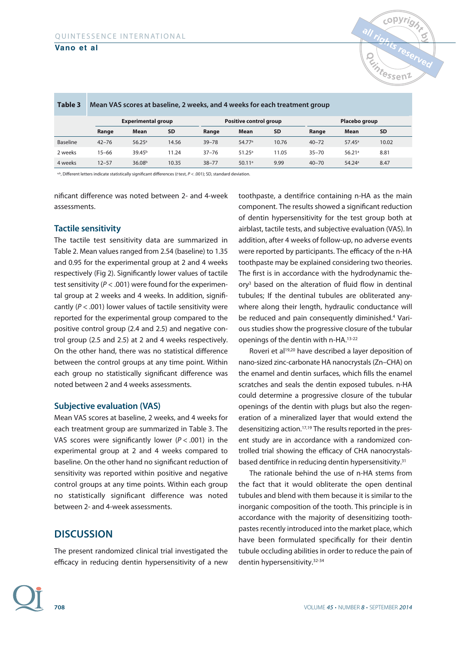

| Table 3         | Mean VAS scores at baseline, 2 weeks, and 4 weeks for each treatment group |                    |           |                        |                 |           |           |                      |           |  |
|-----------------|----------------------------------------------------------------------------|--------------------|-----------|------------------------|-----------------|-----------|-----------|----------------------|-----------|--|
|                 | <b>Experimental group</b>                                                  |                    |           | Positive control group |                 |           |           | Placebo group        |           |  |
|                 | Range                                                                      | <b>Mean</b>        | <b>SD</b> | Range                  | Mean            | <b>SD</b> | Range     | Mean                 | <b>SD</b> |  |
| <b>Baseline</b> | $42 - 76$                                                                  | $56.25^{\circ}$    | 14.56     | $39 - 78$              | 54.77a          | 10.76     | $40 - 72$ | $57.45^{\circ}$      | 10.02     |  |
| 2 weeks         | $15 - 66$                                                                  | 39.45 <sup>b</sup> | 11.24     | $37 - 76$              | $51.25^{\circ}$ | 11.05     | $35 - 70$ | 56.21a               | 8.81      |  |
| 4 weeks         | $12 - 57$                                                                  | 36.08 <sup>b</sup> | 10.35     | $38 - 77$              | 50.11a          | 9.99      | $40 - 70$ | $54.24$ <sup>a</sup> | 8.47      |  |

a,b, Different letters indicate statistically significant differences (t test, P < .001); SD, standard deviation.

nificant difference was noted between 2- and 4-week assessments.

#### **Tactile sensitivity**

The tactile test sensitivity data are summarized in Table 2. Mean values ranged from 2.54 (baseline) to 1.35 and 0.95 for the experimental group at 2 and 4 weeks respectively (Fig 2). Significantly lower values of tactile test sensitivity ( $P < .001$ ) were found for the experimental group at 2 weeks and 4 weeks. In addition, significantly ( $P < .001$ ) lower values of tactile sensitivity were reported for the experimental group compared to the positive control group (2.4 and 2.5) and negative control group (2.5 and 2.5) at 2 and 4 weeks respectively. On the other hand, there was no statistical difference between the control groups at any time point. Within each group no statistically significant difference was noted between 2 and 4 weeks assessments.

#### **Subjective evaluation (VAS)**

Mean VAS scores at baseline, 2 weeks, and 4 weeks for each treatment group are summarized in Table 3. The VAS scores were significantly lower ( $P < .001$ ) in the experimental group at 2 and 4 weeks compared to baseline. On the other hand no significant reduction of sensitivity was reported within positive and negative control groups at any time points. Within each group no statistically significant difference was noted between 2- and 4-week assessments.

# **DISCUSSION**

The present randomized clinical trial investigated the efficacy in reducing dentin hypersensitivity of a new toothpaste, a dentifrice containing n-HA as the main component. The results showed a significant reduction of dentin hypersensitivity for the test group both at airblast, tactile tests, and subjective evaluation (VAS). In addition, after 4 weeks of follow-up, no adverse events were reported by participants. The efficacy of the n-HA toothpaste may be explained considering two theories. The first is in accordance with the hydrodynamic theory3 based on the alteration of fluid flow in dentinal tubules; If the dentinal tubules are obliterated anywhere along their length, hydraulic conductance will be reduced and pain consequently diminished.4 Various studies show the progressive closure of the tubular openings of the dentin with n-HA.13-22

Roveri et al<sup>19,20</sup> have described a layer deposition of nano-sized zinc-carbonate HA nanocrystals (Zn–CHA) on the enamel and dentin surfaces, which fills the enamel scratches and seals the dentin exposed tubules. n-HA could determine a progressive closure of the tubular openings of the dentin with plugs but also the regeneration of a mineralized layer that would extend the desensitizing action.17,19 The results reported in the present study are in accordance with a randomized controlled trial showing the efficacy of CHA nanocrystalsbased dentifrice in reducing dentin hypersensitivity.31

The rationale behind the use of n-HA stems from the fact that it would obliterate the open dentinal tubules and blend with them because it is similar to the inorganic composition of the tooth. This principle is in accordance with the majority of desensitizing toothpastes recently introduced into the market place, which have been formulated specifically for their dentin tubule occluding abilities in order to reduce the pain of dentin hypersensitivity.32-34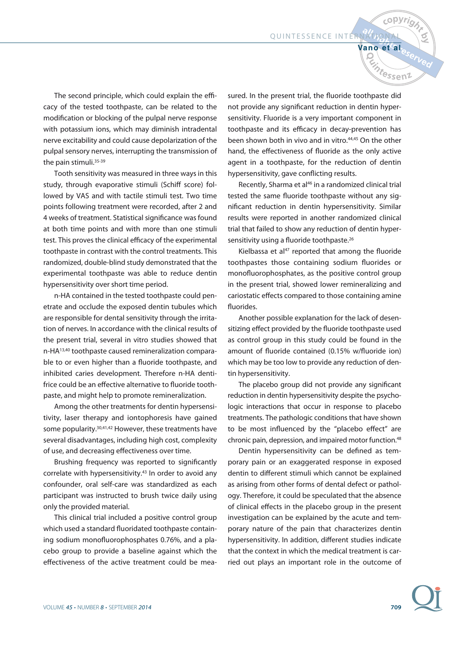**Vano et al**

**Vintessen** 

*c*opyri

The second principle, which could explain the efficacy of the tested toothpaste, can be related to the modification or blocking of the pulpal nerve response with potassium ions, which may diminish intradental nerve excitability and could cause depolarization of the pulpal sensory nerves, interrupting the transmission of the pain stimuli.<sup>35-39</sup>

Tooth sensitivity was measured in three ways in this study, through evaporative stimuli (Schiff score) followed by VAS and with tactile stimuli test. Two time points following treatment were recorded, after 2 and 4 weeks of treatment. Statistical significance was found at both time points and with more than one stimuli test. This proves the clinical efficacy of the experimental toothpaste in contrast with the control treatments. This randomized, double-blind study demonstrated that the experimental toothpaste was able to reduce dentin hypersensitivity over short time period.

n-HA contained in the tested toothpaste could penetrate and occlude the exposed dentin tubules which are responsible for dental sensitivity through the irritation of nerves. In accordance with the clinical results of the present trial, several in vitro studies showed that n-HA13,40 toothpaste caused remineralization comparable to or even higher than a fluoride toothpaste, and inhibited caries development. Therefore n-HA dentifrice could be an effective alternative to fluoride toothpaste, and might help to promote remineralization.

Among the other treatments for dentin hypersensitivity, laser therapy and iontophoresis have gained some popularity.<sup>30,41,42</sup> However, these treatments have several disadvantages, including high cost, complexity of use, and decreasing effectiveness over time.

Brushing frequency was reported to significantly correlate with hypersensitivity.<sup>43</sup> In order to avoid any confounder, oral self-care was standardized as each participant was instructed to brush twice daily using only the provided material.

This clinical trial included a positive control group which used a standard fluoridated toothpaste containing sodium monofluorophosphates 0.76%, and a placebo group to provide a baseline against which the effectiveness of the active treatment could be mea-

sured. In the present trial, the fluoride toothpaste did not provide any significant reduction in dentin hypersensitivity. Fluoride is a very important component in toothpaste and its efficacy in decay-prevention has been shown both in vivo and in vitro.<sup>44,45</sup> On the other hand, the effectiveness of fluoride as the only active agent in a toothpaste, for the reduction of dentin hypersensitivity, gave conflicting results.

Recently, Sharma et al<sup>46</sup> in a randomized clinical trial tested the same fluoride toothpaste without any significant reduction in dentin hypersensitivity. Similar results were reported in another randomized clinical trial that failed to show any reduction of dentin hypersensitivity using a fluoride toothpaste.<sup>26</sup>

Kielbassa et al $47$  reported that among the fluoride toothpastes those containing sodium fluorides or monofluorophosphates, as the positive control group in the present trial, showed lower remineralizing and cariostatic effects compared to those containing amine fluorides.

Another possible explanation for the lack of desensitizing effect provided by the fluoride toothpaste used as control group in this study could be found in the amount of fluoride contained (0.15% w/fluoride ion) which may be too low to provide any reduction of dentin hypersensitivity.

The placebo group did not provide any significant reduction in dentin hypersensitivity despite the psychologic interactions that occur in response to placebo treatments. The pathologic conditions that have shown to be most influenced by the "placebo effect" are chronic pain, depression, and impaired motor function.<sup>48</sup>

Dentin hypersensitivity can be defined as temporary pain or an exaggerated response in exposed dentin to different stimuli which cannot be explained as arising from other forms of dental defect or pathology. Therefore, it could be speculated that the absence of clinical effects in the placebo group in the present investigation can be explained by the acute and temporary nature of the pain that characterizes dentin hypersensitivity. In addition, different studies indicate that the context in which the medical treatment is carried out plays an important role in the outcome of

**709**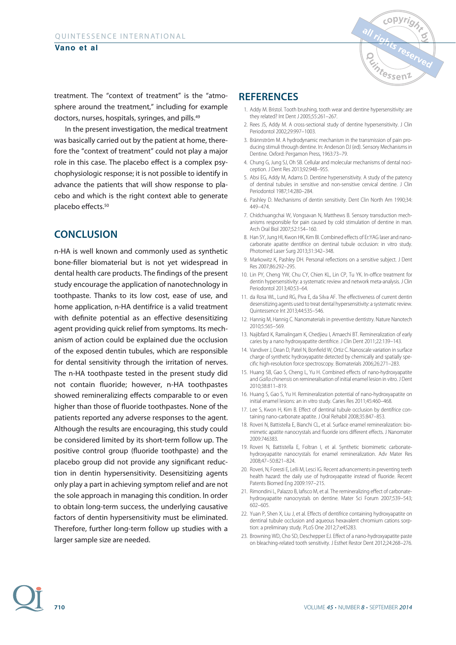

treatment. The "context of treatment" is the "atmosphere around the treatment," including for example doctors, nurses, hospitals, syringes, and pills.49

In the present investigation, the medical treatment was basically carried out by the patient at home, therefore the "context of treatment" could not play a major role in this case. The placebo effect is a complex psychophysiologic response; it is not possible to identify in advance the patients that will show response to placebo and which is the right context able to generate placebo effects.50

# **CONCLUSION**

n-HA is well known and commonly used as synthetic bone-filler biomaterial but is not yet widespread in dental health care products. The findings of the present study encourage the application of nanotechnology in toothpaste. Thanks to its low cost, ease of use, and home application, n-HA dentifrice is a valid treatment with definite potential as an effective desensitizing agent providing quick relief from symptoms. Its mechanism of action could be explained due the occlusion of the exposed dentin tubules, which are responsible for dental sensitivity through the irritation of nerves. The n-HA toothpaste tested in the present study did not contain fluoride; however, n-HA toothpastes showed remineralizing effects comparable to or even higher than those of fluoride toothpastes. None of the patients reported any adverse responses to the agent. Although the results are encouraging, this study could be considered limited by its short-term follow up. The positive control group (fluoride toothpaste) and the placebo group did not provide any significant reduction in dentin hypersensitivity. Desensitizing agents only play a part in achieving symptom relief and are not the sole approach in managing this condition. In order to obtain long-term success, the underlying causative factors of dentin hypersensitivity must be eliminated. Therefore, further long-term follow up studies with a larger sample size are needed.

# **REFERENCES**

- 1. Addy M. Bristol. Tooth brushing, tooth wear and dentine hypersensitivity: are they related? Int Dent J 2005;55:261–267.
- 2. Rees JS, Addy M. A cross-sectional study of dentine hypersensitivity. J Clin Periodontol 2002;29:997–1003.
- 3. Brännström M. A hydrodynamic mechanism in the transmission of pain producing stimuli through dentine. In: Anderson DJ (ed). Sensory Mechanisms in Dentine. Oxford: Pergamon Press, 1963:73–79.
- 4. Chung G, Jung SJ, Oh SB. Cellular and molecular mechanisms of dental nociception. J Dent Res 2013;92:948–955.
- 5. Absi EG, Addy M, Adams D. Dentine hypersensitivity. A study of the patency of dentinal tubules in sensitive and non-sensitive cervical dentine. J Clin Periodontol 1987;14:280–284.
- 6. Pashley D. Mechanisms of dentin sensitivity. Dent Clin North Am 1990;34: 449–474.
- 7. Chidchuangchai W, Vongsavan N, Matthews B. Sensory transduction mechanisms responsible for pain caused by cold stimulation of dentine in man. Arch Oral Biol 2007;52:154–160.
- 8. Han SY, Jung HI, Kwon HK, Kim BI. Combined effects of Er:YAG laser and nanocarbonate apatite dentifrice on dentinal tubule occlusion: in vitro study. Photomed Laser Surg 2013;31:342–348.
- 9. Markowitz K, Pashley DH. Personal reflections on a sensitive subject. J Dent Res 2007;86:292–295.
- 10. Lin PY, Cheng YW, Chu CY, Chien KL, Lin CP, Tu YK. In-office treatment for dentin hypersensitivity: a systematic review and network meta-analysis. J Clin Periodontol 2013;40:53–64.
- 11. da Rosa WL, Lund RG, Piva E, da Silva AF. The effectiveness of current dentin desensitizing agents used to treat dental hypersensitivity: a systematic review. Quintessence Int 2013;44:535–546.
- 12. Hannig M, Hannig C. Nanomaterials in preventive dentistry. Nature Nanotech 2010;5:565–569.
- 13. Najibfard K, Ramalingam K, Chedjieu I, Amaechi BT. Remineralization of early caries by a nano hydroxyapatite dentifrice. J Clin Dent 2011;22:139–143.
- 14. Vandiver J, Dean D, Patel N, Bonfield W, Ortiz C. Nanoscale variation in surface charge of synthetic hydroxyapatite detected by chemically and spatially specific high-resolution force spectroscopy. Biomaterials 2006;26:271–283.
- 15. Huang SB, Gao S, Cheng L, Yu H. Combined effects of nano-hydroxyapatite and Galla chinensis on remineralisation of initial enamel lesion in vitro. J Dent 2010;38:811–819.
- 16. Huang S, Gao S, Yu H. Remineralization potential of nano-hydroxyapatite on initial enamel lesions: an in vitro study. Caries Res 2011;45:460–468.
- 17. Lee S, Kwon H, Kim B. Effect of dentinal tubule occlusion by dentifrice containing nano-carbonate apatite. J Oral Rehabil 2008;35:847–853.
- 18. Roveri N, Battistella E, Bianchi CL, et al. Surface enamel remineralization: biomimetic apatite nanocrystals and fluoride ions different effects. J Nanomater 2009:746383.
- 19. Roveri N, Battistella E, Foltran I, et al. Synthetic biomimetic carbonatehydroxyapatite nanocrystals for enamel remineralization. Adv Mater Res 2008;47–50:821–824.
- 20. Roveri, N, Foresti E, Lelli M, Lesci IG. Recent advancements in preventing teeth health hazard: the daily use of hydroxyapatite instead of fluoride. Recent Patents Biomed Eng 2009:197–215.
- 21. Rimondini L, Palazzo B, Iafisco M, et al. The remineralizing effect of carbonatehydroxyapatite nanocrystals on dentine. Mater Sci Forum 2007;539–543; 602–605.
- 22. Yuan P, Shen X, Liu J, et al. Effects of dentifrice containing hydroxyapatite on dentinal tubule occlusion and aqueous hexavalent chromium cations sorption: a preliminary study. PLoS One 2012;7:e45283.
- 23. Browning WD, Cho SD, Deschepper EJ. Effect of a nano-hydroxyapatite paste on bleaching-related tooth sensitivity. J Esthet Restor Dent 2012;24:268–276.